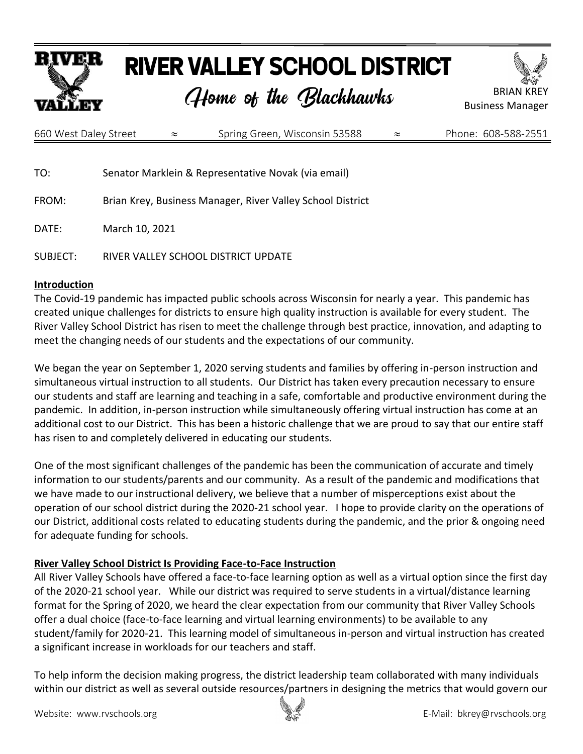

# **RIVER VALLEY SCHOOL DISTRICT**

# Home of the Blackhawks



| 660 West Daley Street | Spring Green, Wisconsin 53588 | Phone: 608-588-2551 |
|-----------------------|-------------------------------|---------------------|
|                       |                               |                     |

TO: Senator Marklein & Representative Novak (via email)

FROM: Brian Krey, Business Manager, River Valley School District

DATE: March 10, 2021

SUBJECT: RIVER VALLEY SCHOOL DISTRICT UPDATE

#### **Introduction**

The Covid-19 pandemic has impacted public schools across Wisconsin for nearly a year. This pandemic has created unique challenges for districts to ensure high quality instruction is available for every student. The River Valley School District has risen to meet the challenge through best practice, innovation, and adapting to meet the changing needs of our students and the expectations of our community.

We began the year on September 1, 2020 serving students and families by offering in-person instruction and simultaneous virtual instruction to all students. Our District has taken every precaution necessary to ensure our students and staff are learning and teaching in a safe, comfortable and productive environment during the pandemic. In addition, in-person instruction while simultaneously offering virtual instruction has come at an additional cost to our District. This has been a historic challenge that we are proud to say that our entire staff has risen to and completely delivered in educating our students.

One of the most significant challenges of the pandemic has been the communication of accurate and timely information to our students/parents and our community. As a result of the pandemic and modifications that we have made to our instructional delivery, we believe that a number of misperceptions exist about the operation of our school district during the 2020-21 school year. I hope to provide clarity on the operations of our District, additional costs related to educating students during the pandemic, and the prior & ongoing need for adequate funding for schools.

#### **River Valley School District Is Providing Face-to-Face Instruction**

All River Valley Schools have offered a face-to-face learning option as well as a virtual option since the first day of the 2020-21 school year. While our district was required to serve students in a virtual/distance learning format for the Spring of 2020, we heard the clear expectation from our community that River Valley Schools offer a dual choice (face-to-face learning and virtual learning environments) to be available to any student/family for 2020-21. This learning model of simultaneous in-person and virtual instruction has created a significant increase in workloads for our teachers and staff.

To help inform the decision making progress, the district leadership team collaborated with many individuals within our district as well as several outside resources/partners in designing the metrics that would govern our

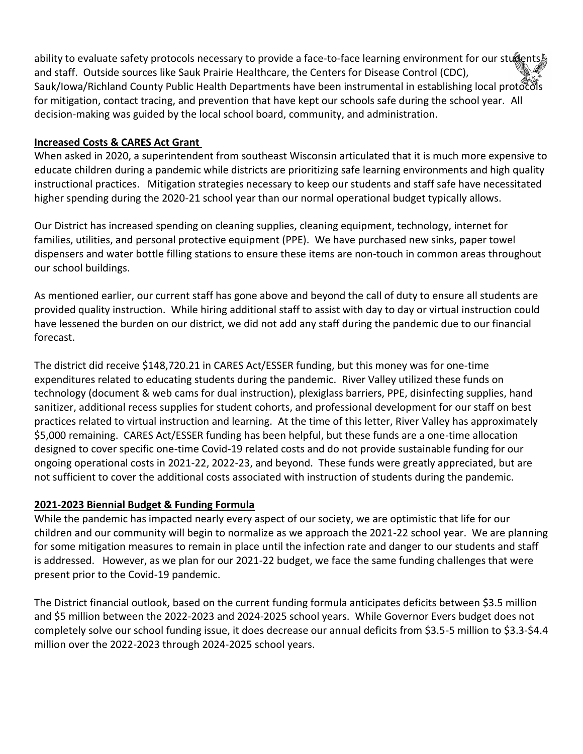ability to evaluate safety protocols necessary to provide a face-to-face learning environment for our students and staff. Outside sources like Sauk Prairie Healthcare, the Centers for Disease Control (CDC), Sauk/Iowa/Richland County Public Health Departments have been instrumental in establishing local protocols for mitigation, contact tracing, and prevention that have kept our schools safe during the school year. All decision-making was guided by the local school board, community, and administration.

### **Increased Costs & CARES Act Grant**

When asked in 2020, a superintendent from southeast Wisconsin articulated that it is much more expensive to educate children during a pandemic while districts are prioritizing safe learning environments and high quality instructional practices. Mitigation strategies necessary to keep our students and staff safe have necessitated higher spending during the 2020-21 school year than our normal operational budget typically allows.

Our District has increased spending on cleaning supplies, cleaning equipment, technology, internet for families, utilities, and personal protective equipment (PPE). We have purchased new sinks, paper towel dispensers and water bottle filling stations to ensure these items are non-touch in common areas throughout our school buildings.

As mentioned earlier, our current staff has gone above and beyond the call of duty to ensure all students are provided quality instruction. While hiring additional staff to assist with day to day or virtual instruction could have lessened the burden on our district, we did not add any staff during the pandemic due to our financial forecast.

The district did receive \$148,720.21 in CARES Act/ESSER funding, but this money was for one-time expenditures related to educating students during the pandemic. River Valley utilized these funds on technology (document & web cams for dual instruction), plexiglass barriers, PPE, disinfecting supplies, hand sanitizer, additional recess supplies for student cohorts, and professional development for our staff on best practices related to virtual instruction and learning. At the time of this letter, River Valley has approximately \$5,000 remaining. CARES Act/ESSER funding has been helpful, but these funds are a one-time allocation designed to cover specific one-time Covid-19 related costs and do not provide sustainable funding for our ongoing operational costs in 2021-22, 2022-23, and beyond. These funds were greatly appreciated, but are not sufficient to cover the additional costs associated with instruction of students during the pandemic.

## **2021-2023 Biennial Budget & Funding Formula**

While the pandemic has impacted nearly every aspect of our society, we are optimistic that life for our children and our community will begin to normalize as we approach the 2021-22 school year. We are planning for some mitigation measures to remain in place until the infection rate and danger to our students and staff is addressed. However, as we plan for our 2021-22 budget, we face the same funding challenges that were present prior to the Covid-19 pandemic.

The District financial outlook, based on the current funding formula anticipates deficits between \$3.5 million and \$5 million between the 2022-2023 and 2024-2025 school years. While Governor Evers budget does not completely solve our school funding issue, it does decrease our annual deficits from \$3.5-5 million to \$3.3-\$4.4 million over the 2022-2023 through 2024-2025 school years.